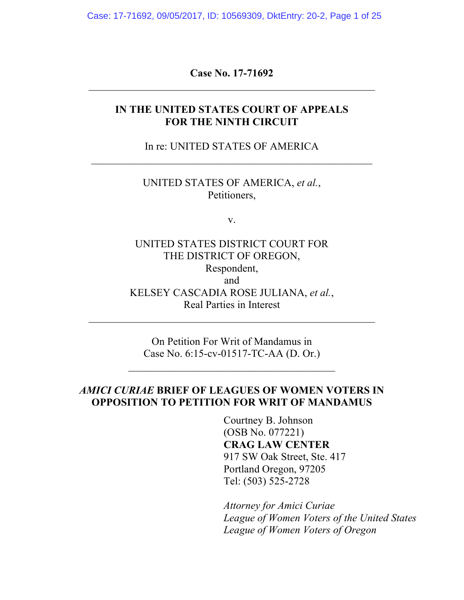Case: 17-71692, 09/05/2017, ID: 10569309, DktEntry: 20-2, Page 1 of 25

**Case No. 17-71692**  $\mathcal{L}_\text{max}$  , and the contract of the contract of the contract of the contract of the contract of the contract of the contract of the contract of the contract of the contract of the contract of the contract of the contr

#### **IN THE UNITED STATES COURT OF APPEALS FOR THE NINTH CIRCUIT**

In re: UNITED STATES OF AMERICA  $\mathcal{L}_\text{max}$  , and the contract of the contract of the contract of the contract of the contract of the contract of the contract of the contract of the contract of the contract of the contract of the contract of the contr

> UNITED STATES OF AMERICA, *et al.*, Petitioners,

> > v.

UNITED STATES DISTRICT COURT FOR THE DISTRICT OF OREGON, Respondent, and KELSEY CASCADIA ROSE JULIANA, *et al.*, Real Parties in Interest

On Petition For Writ of Mandamus in Case No. 6:15-cv-01517-TC-AA (D. Or.)

 $\mathcal{L}_\text{max}$  , where  $\mathcal{L}_\text{max}$  , we are the set of the set of the set of the set of the set of the set of the set of the set of the set of the set of the set of the set of the set of the set of the set of the set of

 $\mathcal{L}_\text{max}$  , and the contract of the contract of the contract of the contract of the contract of the contract of the contract of the contract of the contract of the contract of the contract of the contract of the contr

### *AMICI CURIAE* **BRIEF OF LEAGUES OF WOMEN VOTERS IN OPPOSITION TO PETITION FOR WRIT OF MANDAMUS**

Courtney B. Johnson (OSB No. 077221) **CRAG LAW CENTER** 917 SW Oak Street, Ste. 417 Portland Oregon, 97205 Tel: (503) 525-2728

*Attorney for Amici Curiae League of Women Voters of the United States League of Women Voters of Oregon*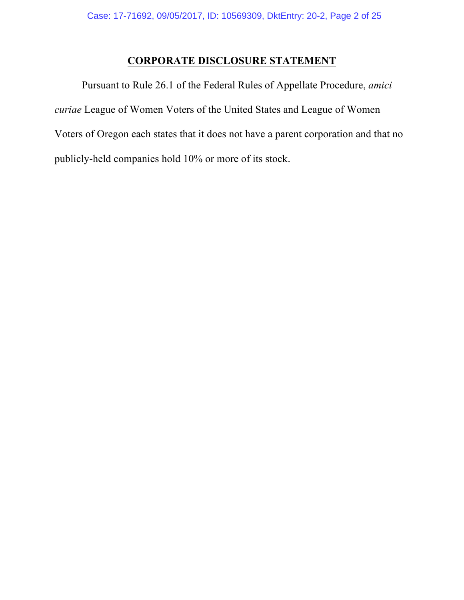# **CORPORATE DISCLOSURE STATEMENT**

Pursuant to Rule 26.1 of the Federal Rules of Appellate Procedure, *amici curiae* League of Women Voters of the United States and League of Women Voters of Oregon each states that it does not have a parent corporation and that no publicly-held companies hold 10% or more of its stock.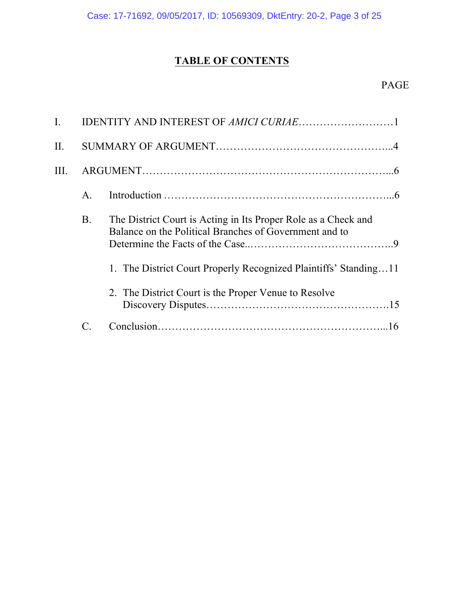# **TABLE OF CONTENTS**

# PAGE

| I.   |                |                                                                                                                          |
|------|----------------|--------------------------------------------------------------------------------------------------------------------------|
| Π.   |                |                                                                                                                          |
| III. |                |                                                                                                                          |
|      | $\mathsf{A}$ . |                                                                                                                          |
|      | <b>B</b> .     | The District Court is Acting in Its Proper Role as a Check and<br>Balance on the Political Branches of Government and to |
|      |                | 1. The District Court Properly Recognized Plaintiffs' Standing11                                                         |
|      |                | 2. The District Court is the Proper Venue to Resolve                                                                     |
|      |                |                                                                                                                          |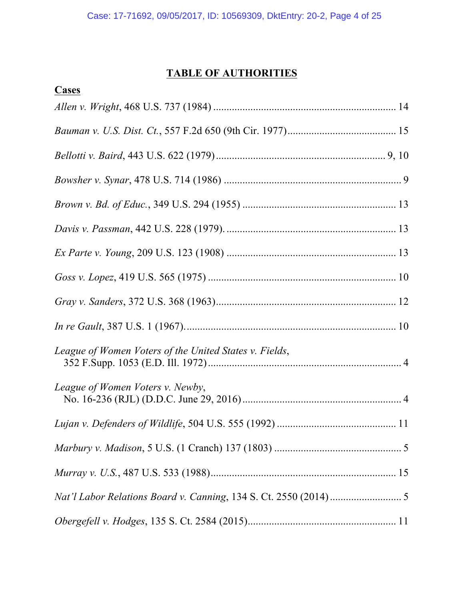# **TABLE OF AUTHORITIES**

| Cases                                                  |  |
|--------------------------------------------------------|--|
|                                                        |  |
|                                                        |  |
|                                                        |  |
|                                                        |  |
|                                                        |  |
|                                                        |  |
|                                                        |  |
|                                                        |  |
|                                                        |  |
|                                                        |  |
| League of Women Voters of the United States v. Fields, |  |
| League of Women Voters v. Newby,                       |  |
|                                                        |  |
|                                                        |  |
|                                                        |  |
|                                                        |  |
|                                                        |  |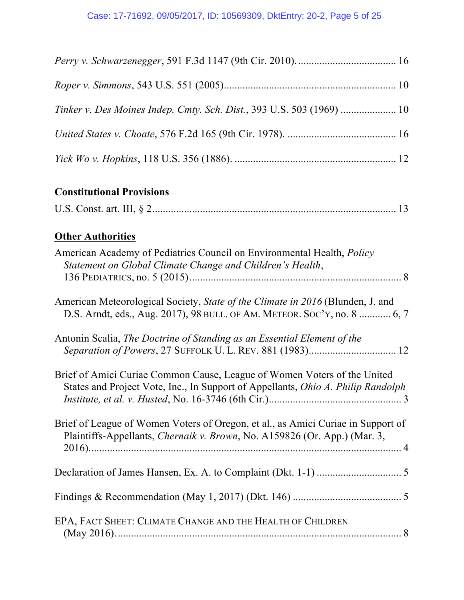| Tinker v. Des Moines Indep. Cmty. Sch. Dist., 393 U.S. 503 (1969)  10 |  |
|-----------------------------------------------------------------------|--|
|                                                                       |  |
|                                                                       |  |

# **Constitutional Provisions**

|--|

# **Other Authorities**

| American Academy of Pediatrics Council on Environmental Health, Policy<br>Statement on Global Climate Change and Children's Health,                           |
|---------------------------------------------------------------------------------------------------------------------------------------------------------------|
| American Meteorological Society, State of the Climate in 2016 (Blunden, J. and<br>D.S. Arndt, eds., Aug. 2017), 98 BULL. OF AM. METEOR. SOC'Y, no. 8  6, 7    |
| Antonin Scalia, The Doctrine of Standing as an Essential Element of the<br>Separation of Powers, 27 SUFFOLK U. L. REV. 881 (1983) 12                          |
| Brief of Amici Curiae Common Cause, League of Women Voters of the United<br>States and Project Vote, Inc., In Support of Appellants, Ohio A. Philip Randolph  |
| Brief of League of Women Voters of Oregon, et al., as Amici Curiae in Support of<br>Plaintiffs-Appellants, Chernaik v. Brown, No. A159826 (Or. App.) (Mar. 3, |
|                                                                                                                                                               |
|                                                                                                                                                               |
| EPA, FACT SHEET: CLIMATE CHANGE AND THE HEALTH OF CHILDREN                                                                                                    |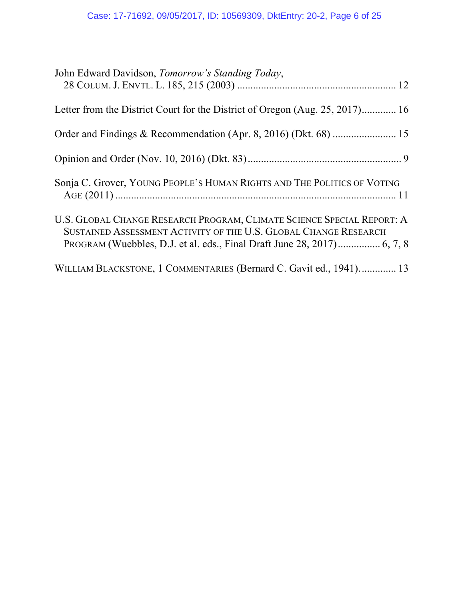# Case: 17-71692, 09/05/2017, ID: 10569309, DktEntry: 20-2, Page 6 of 25

| John Edward Davidson, Tomorrow's Standing Today,                                                                                           |
|--------------------------------------------------------------------------------------------------------------------------------------------|
| Letter from the District Court for the District of Oregon (Aug. 25, 2017) 16                                                               |
|                                                                                                                                            |
|                                                                                                                                            |
| Sonja C. Grover, YOUNG PEOPLE'S HUMAN RIGHTS AND THE POLITICS OF VOTING                                                                    |
| U.S. GLOBAL CHANGE RESEARCH PROGRAM, CLIMATE SCIENCE SPECIAL REPORT: A<br>SUSTAINED ASSESSMENT ACTIVITY OF THE U.S. GLOBAL CHANGE RESEARCH |
| WILLIAM BLACKSTONE, 1 COMMENTARIES (Bernard C. Gavit ed., 1941) 13                                                                         |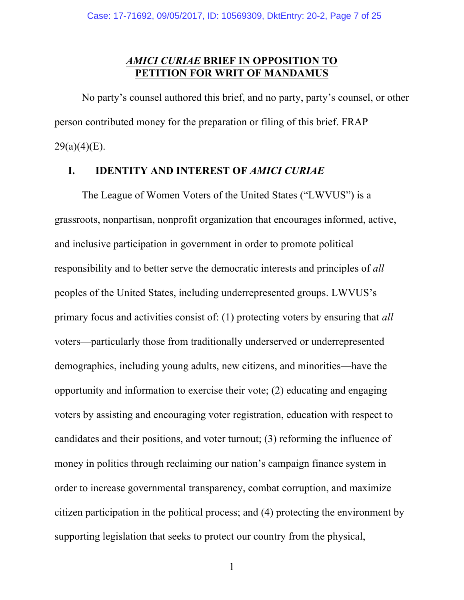## *AMICI CURIAE* **BRIEF IN OPPOSITION TO PETITION FOR WRIT OF MANDAMUS**

No party's counsel authored this brief, and no party, party's counsel, or other person contributed money for the preparation or filing of this brief. FRAP  $29(a)(4)(E)$ .

#### **I. IDENTITY AND INTEREST OF** *AMICI CURIAE*

The League of Women Voters of the United States ("LWVUS") is a grassroots, nonpartisan, nonprofit organization that encourages informed, active, and inclusive participation in government in order to promote political responsibility and to better serve the democratic interests and principles of *all* peoples of the United States, including underrepresented groups. LWVUS's primary focus and activities consist of: (1) protecting voters by ensuring that *all*  voters—particularly those from traditionally underserved or underrepresented demographics, including young adults, new citizens, and minorities—have the opportunity and information to exercise their vote; (2) educating and engaging voters by assisting and encouraging voter registration, education with respect to candidates and their positions, and voter turnout; (3) reforming the influence of money in politics through reclaiming our nation's campaign finance system in order to increase governmental transparency, combat corruption, and maximize citizen participation in the political process; and (4) protecting the environment by supporting legislation that seeks to protect our country from the physical,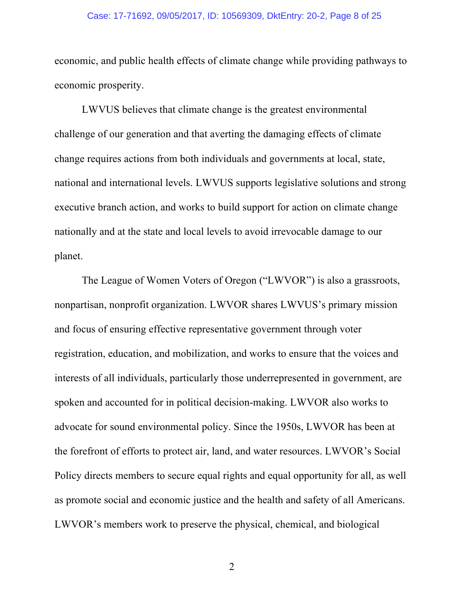#### Case: 17-71692, 09/05/2017, ID: 10569309, DktEntry: 20-2, Page 8 of 25

economic, and public health effects of climate change while providing pathways to economic prosperity.

LWVUS believes that climate change is the greatest environmental challenge of our generation and that averting the damaging effects of climate change requires actions from both individuals and governments at local, state, national and international levels. LWVUS supports legislative solutions and strong executive branch action, and works to build support for action on climate change nationally and at the state and local levels to avoid irrevocable damage to our planet.

The League of Women Voters of Oregon ("LWVOR") is also a grassroots, nonpartisan, nonprofit organization. LWVOR shares LWVUS's primary mission and focus of ensuring effective representative government through voter registration, education, and mobilization, and works to ensure that the voices and interests of all individuals, particularly those underrepresented in government, are spoken and accounted for in political decision-making. LWVOR also works to advocate for sound environmental policy. Since the 1950s, LWVOR has been at the forefront of efforts to protect air, land, and water resources. LWVOR's Social Policy directs members to secure equal rights and equal opportunity for all, as well as promote social and economic justice and the health and safety of all Americans. LWVOR's members work to preserve the physical, chemical, and biological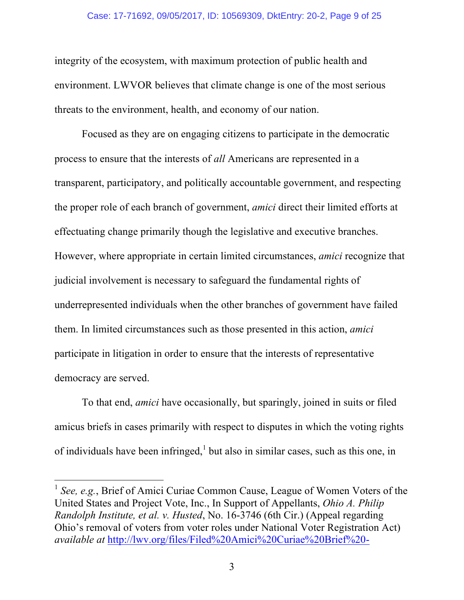#### Case: 17-71692, 09/05/2017, ID: 10569309, DktEntry: 20-2, Page 9 of 25

integrity of the ecosystem, with maximum protection of public health and environment. LWVOR believes that climate change is one of the most serious threats to the environment, health, and economy of our nation.

Focused as they are on engaging citizens to participate in the democratic process to ensure that the interests of *all* Americans are represented in a transparent, participatory, and politically accountable government, and respecting the proper role of each branch of government, *amici* direct their limited efforts at effectuating change primarily though the legislative and executive branches. However, where appropriate in certain limited circumstances, *amici* recognize that judicial involvement is necessary to safeguard the fundamental rights of underrepresented individuals when the other branches of government have failed them. In limited circumstances such as those presented in this action, *amici* participate in litigation in order to ensure that the interests of representative democracy are served.

To that end, *amici* have occasionally, but sparingly, joined in suits or filed amicus briefs in cases primarily with respect to disputes in which the voting rights of individuals have been infringed, $<sup>1</sup>$  but also in similar cases, such as this one, in</sup>

<sup>&</sup>lt;sup>1</sup> See, e.g., Brief of Amici Curiae Common Cause, League of Women Voters of the United States and Project Vote, Inc., In Support of Appellants, *Ohio A. Philip Randolph Institute, et al. v. Husted*, No. 16-3746 (6th Cir.) (Appeal regarding Ohio's removal of voters from voter roles under National Voter Registration Act) *available at* http://lwv.org/files/Filed%20Amici%20Curiae%20Brief%20-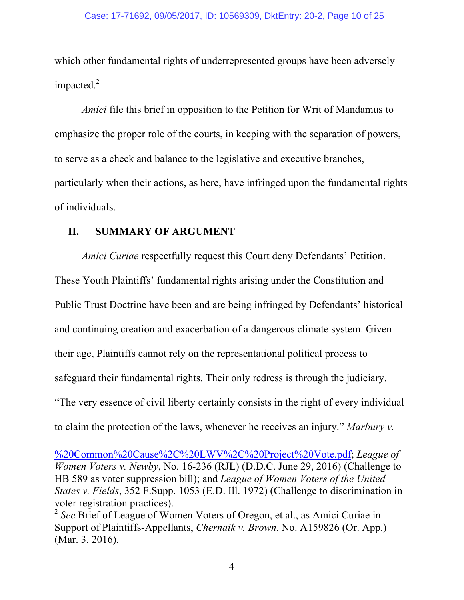which other fundamental rights of underrepresented groups have been adversely impacted.<sup>2</sup>

*Amici* file this brief in opposition to the Petition for Writ of Mandamus to emphasize the proper role of the courts, in keeping with the separation of powers, to serve as a check and balance to the legislative and executive branches, particularly when their actions, as here, have infringed upon the fundamental rights of individuals.

### **II. SUMMARY OF ARGUMENT**

*Amici Curiae* respectfully request this Court deny Defendants' Petition. These Youth Plaintiffs' fundamental rights arising under the Constitution and Public Trust Doctrine have been and are being infringed by Defendants' historical and continuing creation and exacerbation of a dangerous climate system. Given their age, Plaintiffs cannot rely on the representational political process to safeguard their fundamental rights. Their only redress is through the judiciary. "The very essence of civil liberty certainly consists in the right of every individual to claim the protection of the laws, whenever he receives an injury." *Marbury v.* 

%20Common%20Cause%2C%20LWV%2C%20Project%20Vote.pdf; *League of Women Voters v. Newby*, No. 16-236 (RJL) (D.D.C. June 29, 2016) (Challenge to HB 589 as voter suppression bill); and *League of Women Voters of the United States v. Fields*, 352 F.Supp. 1053 (E.D. Ill. 1972) (Challenge to discrimination in voter registration practices).

<u> 1989 - Andrea San Andrea San Andrea San Andrea San Andrea San Andrea San Andrea San Andrea San Andrea San An</u>

<sup>2</sup> *See* Brief of League of Women Voters of Oregon, et al., as Amici Curiae in Support of Plaintiffs-Appellants, *Chernaik v. Brown*, No. A159826 (Or. App.) (Mar. 3, 2016).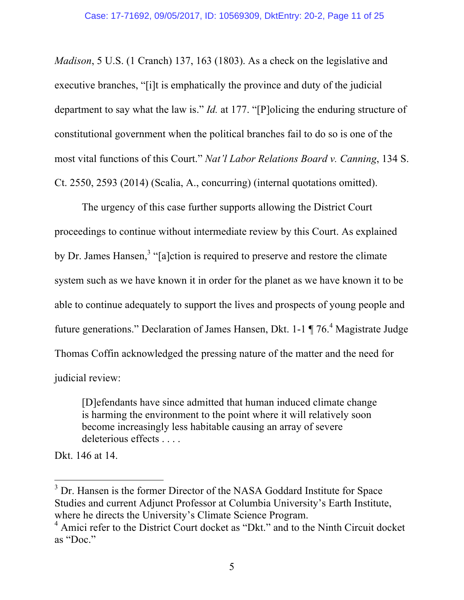*Madison*, 5 U.S. (1 Cranch) 137, 163 (1803). As a check on the legislative and executive branches, "[i]t is emphatically the province and duty of the judicial department to say what the law is." *Id.* at 177. "[P]olicing the enduring structure of constitutional government when the political branches fail to do so is one of the most vital functions of this Court." *Nat'l Labor Relations Board v. Canning*, 134 S. Ct. 2550, 2593 (2014) (Scalia, A., concurring) (internal quotations omitted).

The urgency of this case further supports allowing the District Court proceedings to continue without intermediate review by this Court. As explained by Dr. James Hansen,<sup>3</sup> "[a]ction is required to preserve and restore the climate system such as we have known it in order for the planet as we have known it to be able to continue adequately to support the lives and prospects of young people and future generations." Declaration of James Hansen, Dkt. 1-1 ¶ 76.<sup>4</sup> Magistrate Judge Thomas Coffin acknowledged the pressing nature of the matter and the need for judicial review:

[D]efendants have since admitted that human induced climate change is harming the environment to the point where it will relatively soon become increasingly less habitable causing an array of severe deleterious effects . . . .

Dkt. 146 at 14.

<sup>&</sup>lt;sup>3</sup> Dr. Hansen is the former Director of the NASA Goddard Institute for Space Studies and current Adjunct Professor at Columbia University's Earth Institute, where he directs the University's Climate Science Program.<br><sup>4</sup> Amici refer to the District Court docket as "Dkt." and to the Ninth Circuit docket

as "Doc."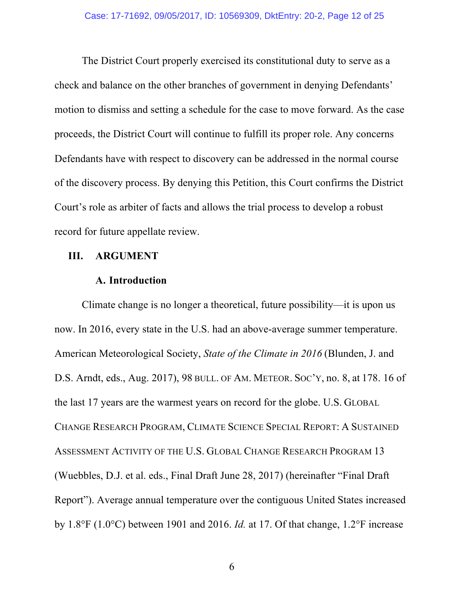The District Court properly exercised its constitutional duty to serve as a check and balance on the other branches of government in denying Defendants' motion to dismiss and setting a schedule for the case to move forward. As the case proceeds, the District Court will continue to fulfill its proper role. Any concerns Defendants have with respect to discovery can be addressed in the normal course of the discovery process. By denying this Petition, this Court confirms the District Court's role as arbiter of facts and allows the trial process to develop a robust record for future appellate review.

#### **III. ARGUMENT**

#### **A. Introduction**

Climate change is no longer a theoretical, future possibility—it is upon us now. In 2016, every state in the U.S. had an above-average summer temperature. American Meteorological Society, *State of the Climate in 2016* (Blunden, J. and D.S. Arndt, eds., Aug. 2017), 98 BULL. OF AM. METEOR. SOC'Y, no. 8, at 178. 16 of the last 17 years are the warmest years on record for the globe. U.S. GLOBAL CHANGE RESEARCH PROGRAM, CLIMATE SCIENCE SPECIAL REPORT: A SUSTAINED ASSESSMENT ACTIVITY OF THE U.S. GLOBAL CHANGE RESEARCH PROGRAM 13 (Wuebbles, D.J. et al. eds., Final Draft June 28, 2017) (hereinafter "Final Draft Report"). Average annual temperature over the contiguous United States increased by 1.8°F (1.0°C) between 1901 and 2016. *Id.* at 17. Of that change, 1.2°F increase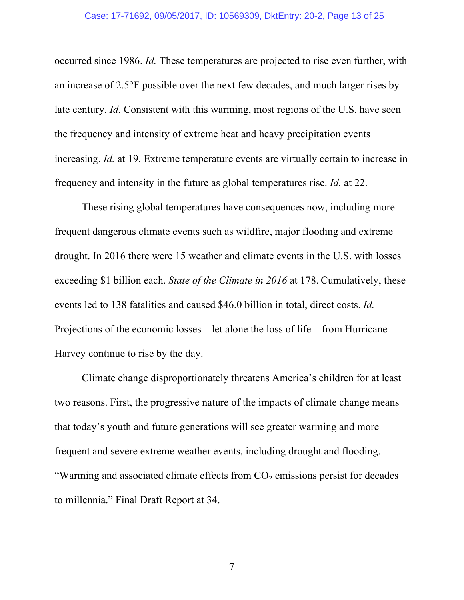occurred since 1986. *Id.* These temperatures are projected to rise even further, with an increase of 2.5°F possible over the next few decades, and much larger rises by late century. *Id.* Consistent with this warming, most regions of the U.S. have seen the frequency and intensity of extreme heat and heavy precipitation events increasing. *Id.* at 19. Extreme temperature events are virtually certain to increase in frequency and intensity in the future as global temperatures rise. *Id.* at 22.

These rising global temperatures have consequences now, including more frequent dangerous climate events such as wildfire, major flooding and extreme drought. In 2016 there were 15 weather and climate events in the U.S. with losses exceeding \$1 billion each. *State of the Climate in 2016* at 178. Cumulatively, these events led to 138 fatalities and caused \$46.0 billion in total, direct costs. *Id.* Projections of the economic losses—let alone the loss of life—from Hurricane Harvey continue to rise by the day.

Climate change disproportionately threatens America's children for at least two reasons. First, the progressive nature of the impacts of climate change means that today's youth and future generations will see greater warming and more frequent and severe extreme weather events, including drought and flooding. "Warming and associated climate effects from  $CO<sub>2</sub>$  emissions persist for decades to millennia." Final Draft Report at 34.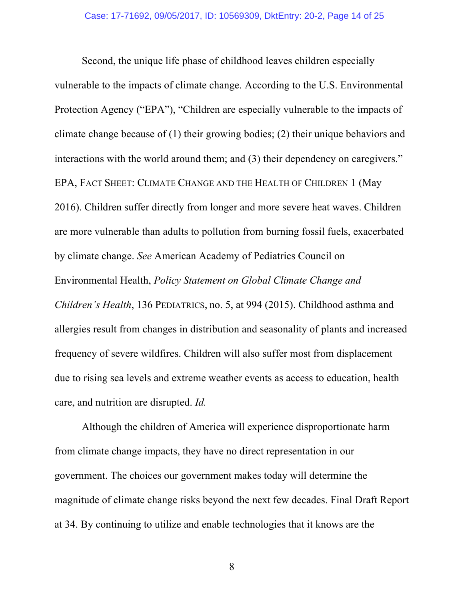Second, the unique life phase of childhood leaves children especially vulnerable to the impacts of climate change. According to the U.S. Environmental Protection Agency ("EPA"), "Children are especially vulnerable to the impacts of climate change because of (1) their growing bodies; (2) their unique behaviors and interactions with the world around them; and (3) their dependency on caregivers." EPA, FACT SHEET: CLIMATE CHANGE AND THE HEALTH OF CHILDREN 1 (May 2016). Children suffer directly from longer and more severe heat waves. Children are more vulnerable than adults to pollution from burning fossil fuels, exacerbated by climate change. *See* American Academy of Pediatrics Council on Environmental Health, *Policy Statement on Global Climate Change and Children's Health*, 136 PEDIATRICS, no. 5, at 994 (2015). Childhood asthma and allergies result from changes in distribution and seasonality of plants and increased frequency of severe wildfires. Children will also suffer most from displacement due to rising sea levels and extreme weather events as access to education, health care, and nutrition are disrupted. *Id.* 

Although the children of America will experience disproportionate harm from climate change impacts, they have no direct representation in our government. The choices our government makes today will determine the magnitude of climate change risks beyond the next few decades. Final Draft Report at 34. By continuing to utilize and enable technologies that it knows are the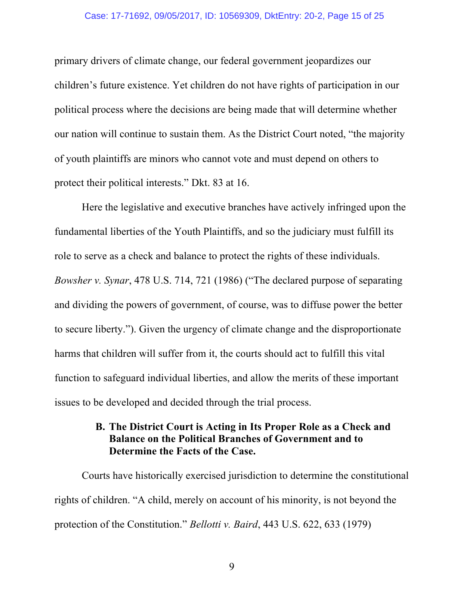#### Case: 17-71692, 09/05/2017, ID: 10569309, DktEntry: 20-2, Page 15 of 25

primary drivers of climate change, our federal government jeopardizes our children's future existence. Yet children do not have rights of participation in our political process where the decisions are being made that will determine whether our nation will continue to sustain them. As the District Court noted, "the majority of youth plaintiffs are minors who cannot vote and must depend on others to protect their political interests." Dkt. 83 at 16.

Here the legislative and executive branches have actively infringed upon the fundamental liberties of the Youth Plaintiffs, and so the judiciary must fulfill its role to serve as a check and balance to protect the rights of these individuals. *Bowsher v. Synar*, 478 U.S. 714, 721 (1986) ("The declared purpose of separating and dividing the powers of government, of course, was to diffuse power the better to secure liberty."). Given the urgency of climate change and the disproportionate harms that children will suffer from it, the courts should act to fulfill this vital function to safeguard individual liberties, and allow the merits of these important issues to be developed and decided through the trial process.

## **B. The District Court is Acting in Its Proper Role as a Check and Balance on the Political Branches of Government and to Determine the Facts of the Case.**

Courts have historically exercised jurisdiction to determine the constitutional rights of children. "A child, merely on account of his minority, is not beyond the protection of the Constitution." *Bellotti v. Baird*, 443 U.S. 622, 633 (1979)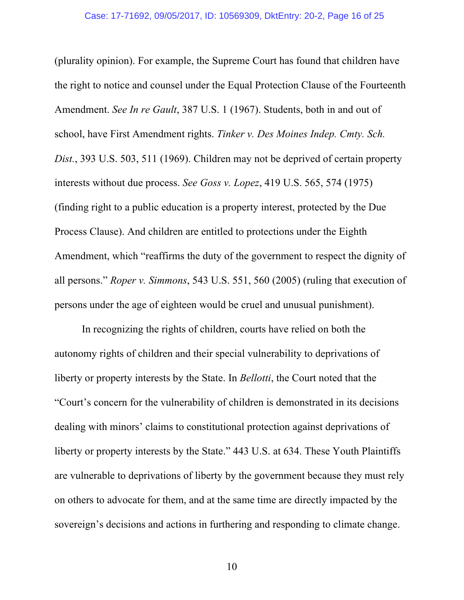(plurality opinion). For example, the Supreme Court has found that children have the right to notice and counsel under the Equal Protection Clause of the Fourteenth Amendment. *See In re Gault*, 387 U.S. 1 (1967). Students, both in and out of school, have First Amendment rights. *Tinker v. Des Moines Indep. Cmty. Sch. Dist.*, 393 U.S. 503, 511 (1969). Children may not be deprived of certain property interests without due process. *See Goss v. Lopez*, 419 U.S. 565, 574 (1975) (finding right to a public education is a property interest, protected by the Due Process Clause). And children are entitled to protections under the Eighth Amendment, which "reaffirms the duty of the government to respect the dignity of all persons." *Roper v. Simmons*, 543 U.S. 551, 560 (2005) (ruling that execution of persons under the age of eighteen would be cruel and unusual punishment).

In recognizing the rights of children, courts have relied on both the autonomy rights of children and their special vulnerability to deprivations of liberty or property interests by the State. In *Bellotti*, the Court noted that the "Court's concern for the vulnerability of children is demonstrated in its decisions dealing with minors' claims to constitutional protection against deprivations of liberty or property interests by the State." 443 U.S. at 634. These Youth Plaintiffs are vulnerable to deprivations of liberty by the government because they must rely on others to advocate for them, and at the same time are directly impacted by the sovereign's decisions and actions in furthering and responding to climate change.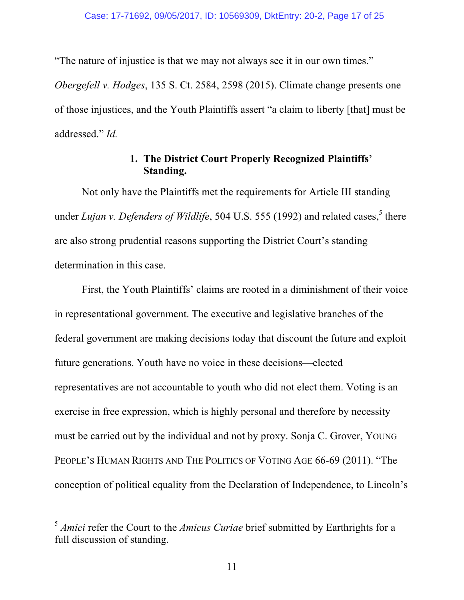"The nature of injustice is that we may not always see it in our own times."

*Obergefell v. Hodges*, 135 S. Ct. 2584, 2598 (2015). Climate change presents one of those injustices, and the Youth Plaintiffs assert "a claim to liberty [that] must be addressed." *Id.*

## **1. The District Court Properly Recognized Plaintiffs' Standing.**

Not only have the Plaintiffs met the requirements for Article III standing under *Lujan v. Defenders of Wildlife*, 504 U.S. 555 (1992) and related cases,<sup>5</sup> there are also strong prudential reasons supporting the District Court's standing determination in this case.

First, the Youth Plaintiffs' claims are rooted in a diminishment of their voice in representational government. The executive and legislative branches of the federal government are making decisions today that discount the future and exploit future generations. Youth have no voice in these decisions—elected representatives are not accountable to youth who did not elect them. Voting is an exercise in free expression, which is highly personal and therefore by necessity must be carried out by the individual and not by proxy. Sonja C. Grover, YOUNG PEOPLE'S HUMAN RIGHTS AND THE POLITICS OF VOTING AGE 66-69 (2011). "The conception of political equality from the Declaration of Independence, to Lincoln's

 <sup>5</sup> *Amici* refer the Court to the *Amicus Curiae* brief submitted by Earthrights for a full discussion of standing.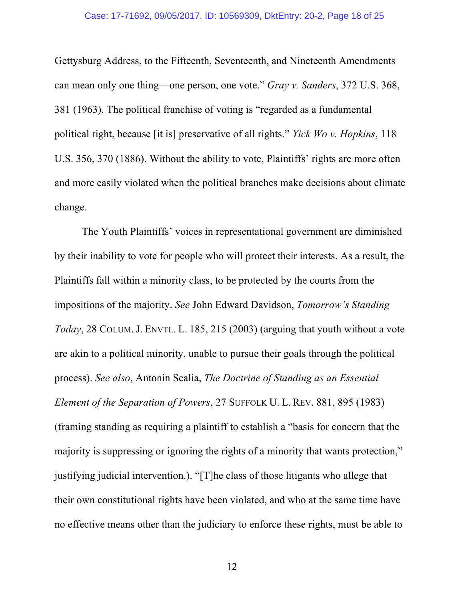#### Case: 17-71692, 09/05/2017, ID: 10569309, DktEntry: 20-2, Page 18 of 25

Gettysburg Address, to the Fifteenth, Seventeenth, and Nineteenth Amendments can mean only one thing—one person, one vote." *Gray v. Sanders*, 372 U.S. 368, 381 (1963). The political franchise of voting is "regarded as a fundamental political right, because [it is] preservative of all rights." *Yick Wo v. Hopkins*, 118 U.S. 356, 370 (1886). Without the ability to vote, Plaintiffs' rights are more often and more easily violated when the political branches make decisions about climate change.

The Youth Plaintiffs' voices in representational government are diminished by their inability to vote for people who will protect their interests. As a result, the Plaintiffs fall within a minority class, to be protected by the courts from the impositions of the majority. *See* John Edward Davidson, *Tomorrow's Standing Today*, 28 COLUM. J. ENVTL. L. 185, 215 (2003) (arguing that youth without a vote are akin to a political minority, unable to pursue their goals through the political process). *See also*, Antonin Scalia, *The Doctrine of Standing as an Essential Element of the Separation of Powers*, 27 SUFFOLK U. L. REV. 881, 895 (1983) (framing standing as requiring a plaintiff to establish a "basis for concern that the majority is suppressing or ignoring the rights of a minority that wants protection," justifying judicial intervention.). "[T]he class of those litigants who allege that their own constitutional rights have been violated, and who at the same time have no effective means other than the judiciary to enforce these rights, must be able to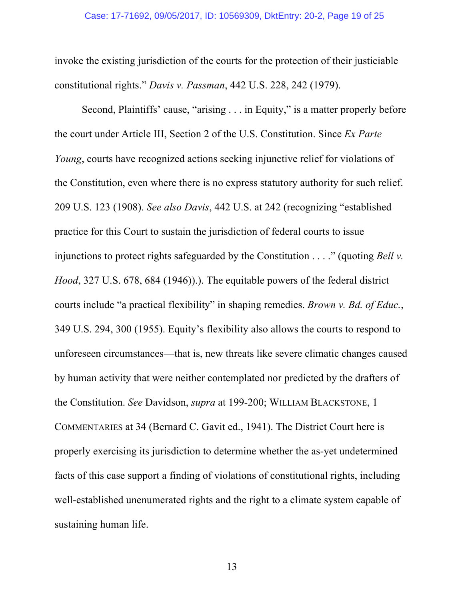invoke the existing jurisdiction of the courts for the protection of their justiciable constitutional rights." *Davis v. Passman*, 442 U.S. 228, 242 (1979).

Second, Plaintiffs' cause, "arising . . . in Equity," is a matter properly before the court under Article III, Section 2 of the U.S. Constitution. Since *Ex Parte Young*, courts have recognized actions seeking injunctive relief for violations of the Constitution, even where there is no express statutory authority for such relief. 209 U.S. 123 (1908). *See also Davis*, 442 U.S. at 242 (recognizing "established practice for this Court to sustain the jurisdiction of federal courts to issue injunctions to protect rights safeguarded by the Constitution . . . ." (quoting *Bell v. Hood*, 327 U.S. 678, 684 (1946)).). The equitable powers of the federal district courts include "a practical flexibility" in shaping remedies. *Brown v. Bd. of Educ.*, 349 U.S. 294, 300 (1955). Equity's flexibility also allows the courts to respond to unforeseen circumstances—that is, new threats like severe climatic changes caused by human activity that were neither contemplated nor predicted by the drafters of the Constitution. *See* Davidson, *supra* at 199-200; WILLIAM BLACKSTONE, 1 COMMENTARIES at 34 (Bernard C. Gavit ed., 1941). The District Court here is properly exercising its jurisdiction to determine whether the as-yet undetermined facts of this case support a finding of violations of constitutional rights, including well-established unenumerated rights and the right to a climate system capable of sustaining human life.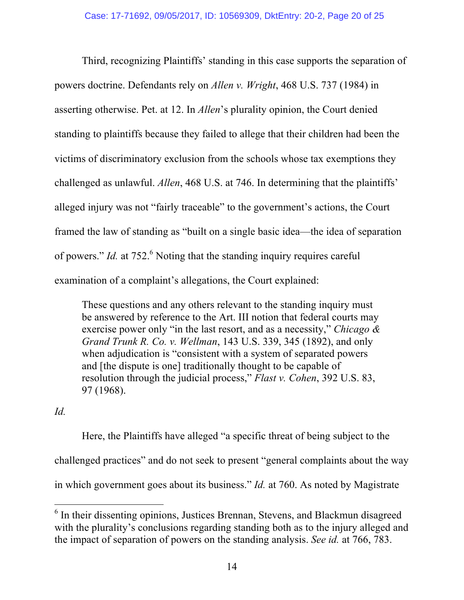Third, recognizing Plaintiffs' standing in this case supports the separation of powers doctrine. Defendants rely on *Allen v. Wright*, 468 U.S. 737 (1984) in asserting otherwise. Pet. at 12. In *Allen*'s plurality opinion, the Court denied standing to plaintiffs because they failed to allege that their children had been the victims of discriminatory exclusion from the schools whose tax exemptions they challenged as unlawful. *Allen*, 468 U.S. at 746. In determining that the plaintiffs' alleged injury was not "fairly traceable" to the government's actions, the Court framed the law of standing as "built on a single basic idea—the idea of separation of powers." *Id.* at 752.<sup>6</sup> Noting that the standing inquiry requires careful examination of a complaint's allegations, the Court explained:

These questions and any others relevant to the standing inquiry must be answered by reference to the Art. III notion that federal courts may exercise power only "in the last resort, and as a necessity," *Chicago & Grand Trunk R. Co. v. Wellman*, 143 U.S. 339, 345 (1892), and only when adjudication is "consistent with a system of separated powers and [the dispute is one] traditionally thought to be capable of resolution through the judicial process," *Flast v. Cohen*, 392 U.S. 83, 97 (1968).

## *Id.*

Here, the Plaintiffs have alleged "a specific threat of being subject to the challenged practices" and do not seek to present "general complaints about the way in which government goes about its business." *Id.* at 760. As noted by Magistrate

<sup>&</sup>lt;sup>6</sup> In their dissenting opinions, Justices Brennan, Stevens, and Blackmun disagreed with the plurality's conclusions regarding standing both as to the injury alleged and the impact of separation of powers on the standing analysis. *See id.* at 766, 783.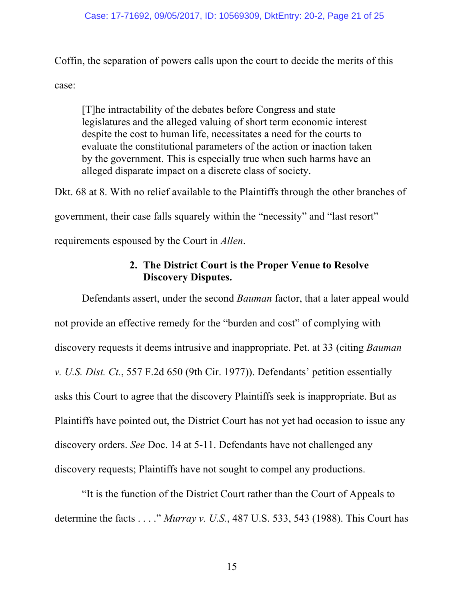Coffin, the separation of powers calls upon the court to decide the merits of this case:

[T]he intractability of the debates before Congress and state legislatures and the alleged valuing of short term economic interest despite the cost to human life, necessitates a need for the courts to evaluate the constitutional parameters of the action or inaction taken by the government. This is especially true when such harms have an alleged disparate impact on a discrete class of society.

Dkt. 68 at 8. With no relief available to the Plaintiffs through the other branches of government, their case falls squarely within the "necessity" and "last resort" requirements espoused by the Court in *Allen*.

## **2. The District Court is the Proper Venue to Resolve Discovery Disputes.**

Defendants assert, under the second *Bauman* factor, that a later appeal would not provide an effective remedy for the "burden and cost" of complying with discovery requests it deems intrusive and inappropriate. Pet. at 33 (citing *Bauman v. U.S. Dist. Ct.*, 557 F.2d 650 (9th Cir. 1977)). Defendants' petition essentially asks this Court to agree that the discovery Plaintiffs seek is inappropriate. But as Plaintiffs have pointed out, the District Court has not yet had occasion to issue any discovery orders. *See* Doc. 14 at 5-11. Defendants have not challenged any discovery requests; Plaintiffs have not sought to compel any productions.

"It is the function of the District Court rather than the Court of Appeals to determine the facts . . . ." *Murray v. U.S.*, 487 U.S. 533, 543 (1988). This Court has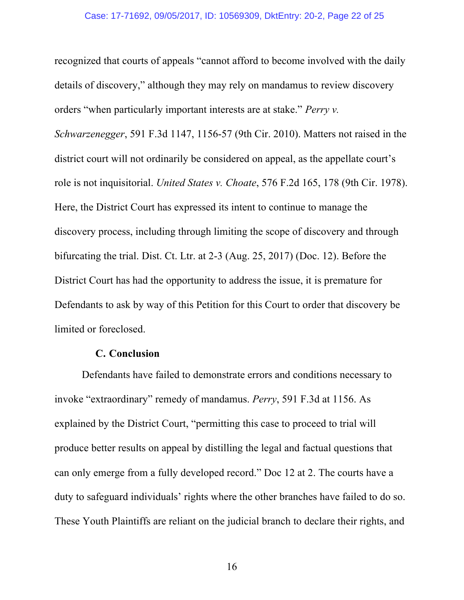recognized that courts of appeals "cannot afford to become involved with the daily details of discovery," although they may rely on mandamus to review discovery orders "when particularly important interests are at stake." *Perry v.* 

*Schwarzenegger*, 591 F.3d 1147, 1156-57 (9th Cir. 2010). Matters not raised in the district court will not ordinarily be considered on appeal, as the appellate court's role is not inquisitorial. *United States v. Choate*, 576 F.2d 165, 178 (9th Cir. 1978). Here, the District Court has expressed its intent to continue to manage the discovery process, including through limiting the scope of discovery and through bifurcating the trial. Dist. Ct. Ltr. at 2-3 (Aug. 25, 2017) (Doc. 12). Before the District Court has had the opportunity to address the issue, it is premature for Defendants to ask by way of this Petition for this Court to order that discovery be limited or foreclosed.

#### **C. Conclusion**

Defendants have failed to demonstrate errors and conditions necessary to invoke "extraordinary" remedy of mandamus. *Perry*, 591 F.3d at 1156. As explained by the District Court, "permitting this case to proceed to trial will produce better results on appeal by distilling the legal and factual questions that can only emerge from a fully developed record." Doc 12 at 2. The courts have a duty to safeguard individuals' rights where the other branches have failed to do so. These Youth Plaintiffs are reliant on the judicial branch to declare their rights, and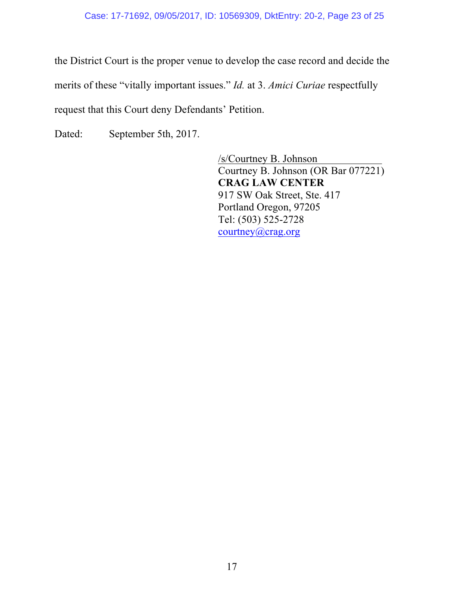#### Case: 17-71692, 09/05/2017, ID: 10569309, DktEntry: 20-2, Page 23 of 25

the District Court is the proper venue to develop the case record and decide the merits of these "vitally important issues." *Id.* at 3. *Amici Curiae* respectfully request that this Court deny Defendants' Petition.

Dated: September 5th, 2017.

/s/Courtney B. Johnson Courtney B. Johnson (OR Bar 077221) **CRAG LAW CENTER** 917 SW Oak Street, Ste. 417 Portland Oregon, 97205 Tel: (503) 525-2728 courtney@crag.org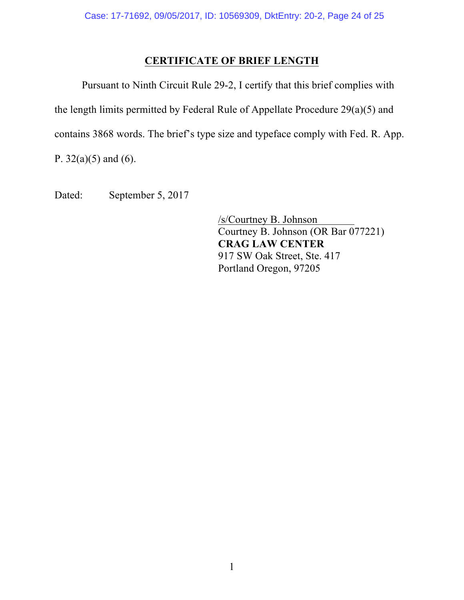## **CERTIFICATE OF BRIEF LENGTH**

Pursuant to Ninth Circuit Rule 29-2, I certify that this brief complies with the length limits permitted by Federal Rule of Appellate Procedure 29(a)(5) and contains 3868 words. The brief's type size and typeface comply with Fed. R. App.

P.  $32(a)(5)$  and (6).

Dated: September 5, 2017

/s/Courtney B. Johnson Courtney B. Johnson (OR Bar 077221) **CRAG LAW CENTER** 917 SW Oak Street, Ste. 417 Portland Oregon, 97205